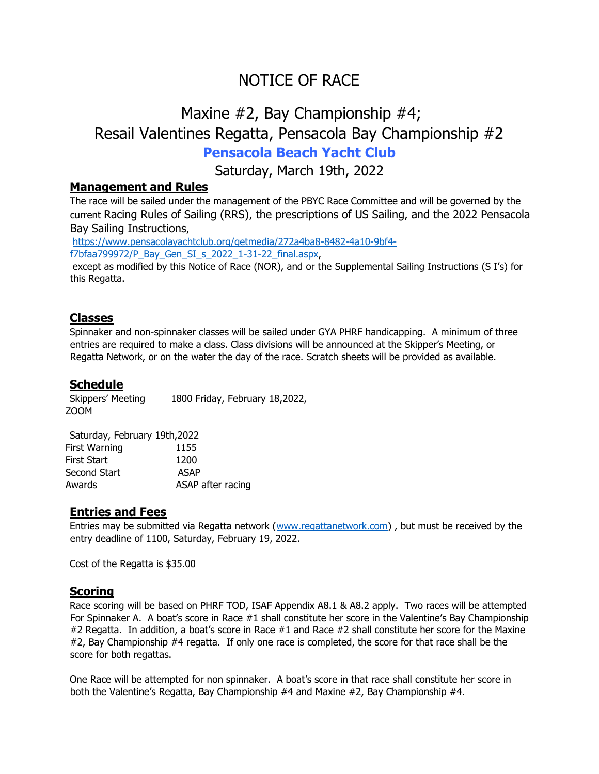# NOTICE OF RACE

## Maxine #2, Bay Championship #4; Resail Valentines Regatta, Pensacola Bay Championship #2 **Pensacola Beach Yacht Club**

Saturday, March 19th, 2022

#### **Management and Rules**

The race will be sailed under the management of the PBYC Race Committee and will be governed by the current Racing Rules of Sailing (RRS), the prescriptions of US Sailing, and the 2022 Pensacola Bay Sailing Instructions,

[https://www.pensacolayachtclub.org/getmedia/272a4ba8-8482-4a10-9bf4](https://www.pensacolayachtclub.org/getmedia/272a4ba8-8482-4a10-9bf4-f7bfaa799972/P_Bay_Gen_SI_s_2022_1-31-22_final.aspx) [f7bfaa799972/P\\_Bay\\_Gen\\_SI\\_s\\_2022\\_1-31-22\\_final.aspx,](https://www.pensacolayachtclub.org/getmedia/272a4ba8-8482-4a10-9bf4-f7bfaa799972/P_Bay_Gen_SI_s_2022_1-31-22_final.aspx)

except as modified by this Notice of Race (NOR), and or the Supplemental Sailing Instructions (S I's) for this Regatta.

#### **Classes**

Spinnaker and non-spinnaker classes will be sailed under GYA PHRF handicapping. A minimum of three entries are required to make a class. Class divisions will be announced at the Skipper's Meeting, or Regatta Network, or on the water the day of the race. Scratch sheets will be provided as available.

#### **Schedule**

Skippers' Meeting 1800 Friday, February 18,2022, ZOOM

| Saturday, February 19th, 2022 |
|-------------------------------|
| 1155                          |
| 1200                          |
| ASAP                          |
| ASAP after racing             |
|                               |

#### **Entries and Fees**

Entries may be submitted via Regatta network [\(www.regattanetwork.com\)](http://www.regattanetwork.com/), but must be received by the entry deadline of 1100, Saturday, February 19, 2022.

Cost of the Regatta is \$35.00

#### **Scoring**

Race scoring will be based on PHRF TOD, ISAF Appendix A8.1 & A8.2 apply. Two races will be attempted For Spinnaker A. A boat's score in Race #1 shall constitute her score in the Valentine's Bay Championship #2 Regatta. In addition, a boat's score in Race #1 and Race #2 shall constitute her score for the Maxine #2, Bay Championship #4 regatta. If only one race is completed, the score for that race shall be the score for both regattas.

One Race will be attempted for non spinnaker. A boat's score in that race shall constitute her score in both the Valentine's Regatta, Bay Championship #4 and Maxine #2, Bay Championship #4.